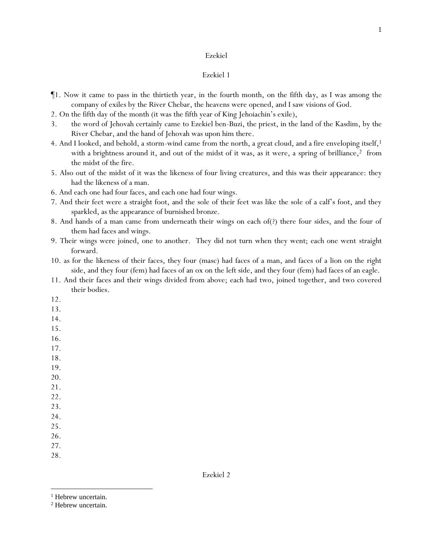#### Ezekiel 1

- ¶1. Now it came to pass in the thirtieth year, in the fourth month, on the fifth *day*, as I was among the company of exiles by the River Chebar, the heavens were opened, and I saw visions of God.
- 2. On the fifth day of the month (it was the fifth year of King Jehoiachin's exile),
- 3. the word of Jehovah certainly came to Ezekiel ben-Buzi, the priest, in the land of the Kasdim, by the River Chebar, and the hand of Jehovah was upon him there.
- 4. And I looked, and behold, a storm-wind came from the north, a great cloud, and a fire enveloping itself,<sup>1</sup> with a brightness around it, and out of the midst of it was, as it were, a spring of brilliance, <sup>2</sup> from the midst of the fire.
- 5. Also out of the midst of it was the likeness of four living creatures, and this was their appearance: they had the likeness of a man.
- 6. And each one had four faces, and each one had four wings.
- 7. And their feet were a straight foot, and the sole of their feet was like the sole of a calf's foot, and they sparkled, as the appearance of burnished bronze.
- 8. And hands of a man came from underneath their wings on each of(?) there four sides, and the four of them had faces and wings.
- 9. Their wings were joined, one to another. They did not turn when they went; each one went straight forward.
- 10. as for the likeness of their faces, they four (masc) had faces of a man, and faces of a lion on the right side, and they four (fem) had faces of an ox on the left side, and they four (fem) had faces of an eagle.
- 11. And their faces and their wings divided from above; each had two, joined together, and two covered their bodies.
- 12.
- 13.
- 14.
- 15.
- 16.
- 17.
- 18.
- 19. 20.
- 21.
- 22.
- 23.
- 24.
- 25.
- 26.
- 27.
- 28.

<sup>&</sup>lt;sup>1</sup> Hebrew uncertain.

<sup>2</sup> Hebrew uncertain.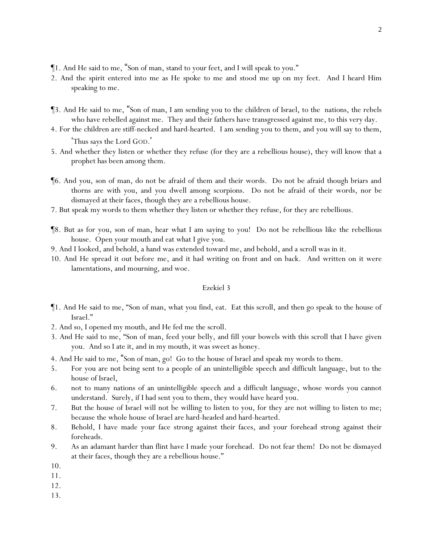- ¶1. And He said to me, "Son of man, stand to your feet, and I will speak to you."
- 2. And the spirit entered into me as He spoke to me and stood me up on my feet. And I heard Him speaking to me.
- ¶3. And He said to me, "Son of man, I am sending you to the children of Israel, to the nations, the rebels who have rebelled against me. They and their fathers have transgressed against me, to this very day.
- 4. For the children *are* stiff-necked and hard-hearted. I am sending you to them, and you will say to them, 'Thus says the Lord GOD. '
- 5. And whether they listen or whether they refuse (for they are a rebellious house), they will know that a prophet has been among them.
- ¶6. And you, son of man, do not be afraid of them and their words. Do not be afraid though briars and thorns are with you, and you dwell among scorpions. Do not be afraid of their words, nor be dismayed at their faces, though they are a rebellious house.
- 7. But speak my words to them whether they listen or whether they refuse, for they are rebellious.
- ¶8. But as for you, son of man, hear what I am saying to you! Do not be rebellious like the rebellious house. Open your mouth and eat what I give you.
- 9. And I looked, and behold, a hand was extended toward me, and behold, and a scroll was in it.
- 10. And He spread it out before me, and it had writing on front and on back. And written on it were lamentations, and mourning, and woe.

- ¶1. And He said to me, "Son of man, what you find, eat. Eat this scroll, and then go speak to the house of Israel."
- 2. And so, I opened my mouth, and He fed me the scroll.
- 3. And He said to me, "Son of man, feed your belly, and fill your bowels with this scroll that I have given you. And so I ate it, and in my mouth, it was sweet as honey.
- 4. And He said to me, "Son of man, go! Go to the house of Israel and speak my words to them.
- 5. For you are not being sent to a people of an unintelligible speech and difficult language, but to the house of Israel,
- 6. not to many nations of an unintelligible speech and a difficult language, whose words you cannot understand. Surely, if I had sent you to them, they would have heard you.
- 7. But the house of Israel will not be willing to listen to you, for they are not willing to listen to me; because the whole house of Israel are hard-headed and hard-hearted.
- 8. Behold, I have made your face strong against their faces, and your forehead strong against their foreheads.
- 9. As an adamant harder than flint have I made your forehead. Do not fear them! Do not be dismayed at their faces, though they are a rebellious house."
- 10.

11.

12.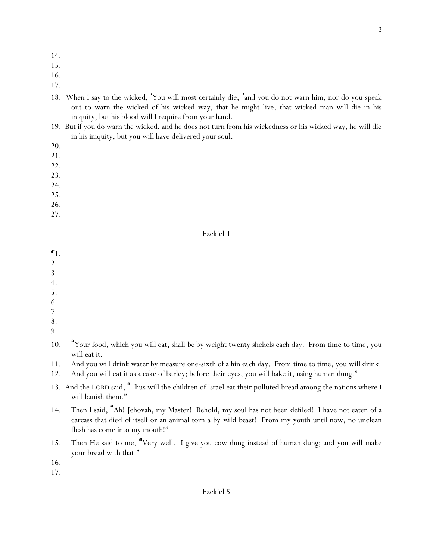- 14.
- 15.
- 16.
- 17.
- 18. When I say to the wicked, 'You will most certainly die, 'and you do not warn him, nor do you speak out to warn the wicked of his wicked way, that he might live, that wicked man will die in his iniquity, but his blood will I require from your hand.
- 19. But if you do warn the wicked, and he does not turn from his wickedness or his wicked way, he will die in his iniquity, but you will have delivered your soul.
- 20.
- 21.
- 22.
- 23.
- 24.
- 25.
- 26.
- 27.

¶1.

- 2.
- 3.
- 4.
- 5.
- 6. 7.
- 8.
- 9.
- 10. "Your food, which you will eat, *shall be* by weight twenty shekels each day. From time to time, you will eat it.
- 11. And you will drink water by measure one-sixth of a hin *each day*. From time to time, you will drink.
- 12. And you will eat it *as*a cake of barley; before their eyes, you will bake it, using human dung."
- 13. And the LORD said, "Thus will the children of Israel eat their polluted bread among the nations where I will banish them."
- 14. Then I said, "Ah! Jehovah, my Master! Behold, my soul has not been defiled! I have not eaten of a carcass that died *of itself* or an animal torn a *by wild beast*! From my youth until now, no unclean flesh has come into my mouth!"
- 15. Then He said to me, "Very well. I give you cow dung instead of human dung; and you will make your bread with that."

16.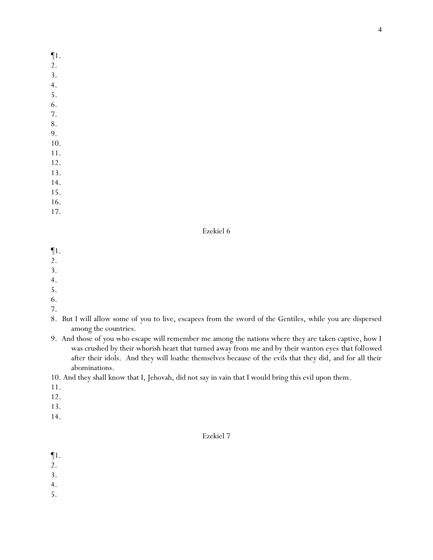¶1.

- 2.
- 3.
- 4.
- 5.
- 6.
- 7.
- 8. 9.
- 10.
- 11.
- 12.
- 13.
- 14.
- 15.
- 16.
- 17.

## Ezekiel 6

- ¶1.
- 2.
- 3.
- 4.
- 5.
- 6.
- 7.
- 8. But I will allow some of *y*ou to live, escapees from the sword of the Gentiles, while you are dispersed among the countries.
- 9. And those of *y*ou who escape will remember me among the nations where they are taken captive, how I was crushed by their whorish heart that turned away from me and by their wanton eyes *that followed* after their idols. And they will loathe themselves because of the evils that they did, and for all their abominations.

10. And they shall know that I, Jehovah, did not say in vain that I would bring this evil upon them.

- 11.
- 12.
- 13.
- 14.

- ¶1.
- 2.
- 3.
- 4.
- 5.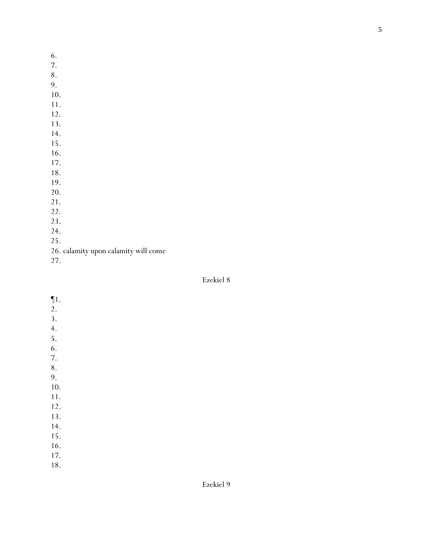- 6.
- 7. 8.
- 9.
- 10.
- 11.
- 12.
- 13.
- 14.
- 15.
- 16.
- 17. 18.
- 19.
- 20.
- 21.
- 22.
- 23.
- 24.
- 25.
- 26. calamity upon calamity will come
- 27.

- ¶1.
- 2.
- 3.
- 4.
- 5.
- 6.
- 7. 8.
- 9.
- 10.
- 11.
- 12.
- 13.
- 14.
- 15.
- 16.
- 17.
- 18.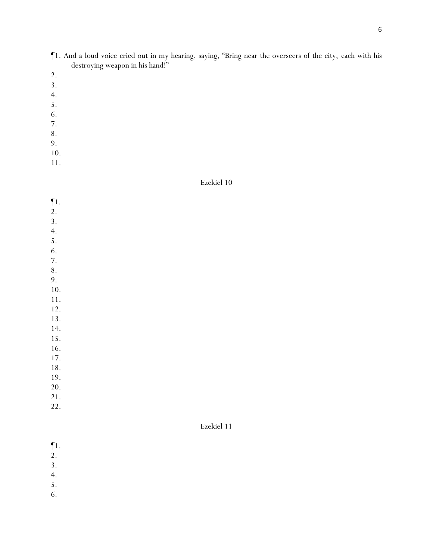- ¶1. And a loud voice cried out in my hearing, saying, "Bring near the overseers of the city, each with his destroying weapon in his hand!"
- 2.
- 3.
- 4.
- 5.
- 6.
- 7.
- 8.
- 9.
- 10.
- 11.

- ¶1.
- 2.
- 3.
- 4.
- 5.
- 6.
- 7.
- 8.
- 9.
- 10.
- 11. 12.
- 13.
- 14.
- 15.
- 16.
- 17.
- 18.
- 19.
- 20.
- 21.
- 22.

- ¶1.
- 2.
- 3.
- 4.
- 5.
- 6.
-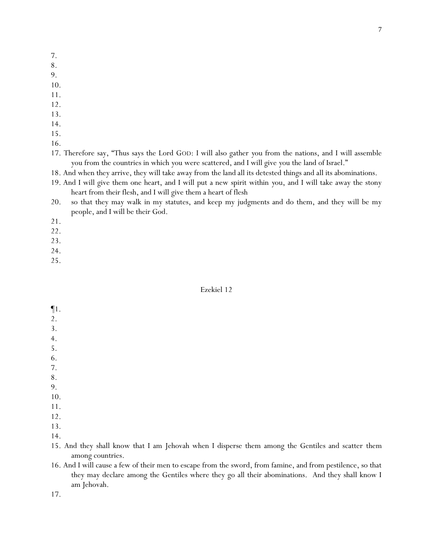- 7.
- 8.
- 9.
- 10.
- 11.
- 12.
- 13.
- 14.
- 15.
- 16.

17. Therefore say, "Thus says the Lord GOD: I will also gather *y*ou from the nations, and I will assemble *y*ou from the countries in which *y*ou were scattered, and I will give *y*ou the land of Israel."

18. And when they arrive, they will take away from *the land* all its detested things and all its abominations.

- 19. And I will give them one heart, and I will put a new spirit within *y*ou, and I will take away the stony heart from their flesh, and I will give them a heart of flesh
- 20. so that they may walk in my statutes, and keep my judgments and do them, and they will be my people, and I will be their God.
- 21.
- 22.
- 23.
- 24.
- 25.

## Ezekiel 12

- ¶1.
- 2.
- 3.
- 4.
- 5.
- 6.
- 7. 8.
- 9.
- 10.
- 11.
- 12.
- 13.
- 14.
- 15. And they shall know that I am Jehovah when I disperse them among the Gentiles and scatter them among countries.
- 16. And I will cause a few of their men to escape from the sword, from famine, and from pestilence, so that they may declare among the Gentiles where they go all their abominations. And they shall know I am Jehovah.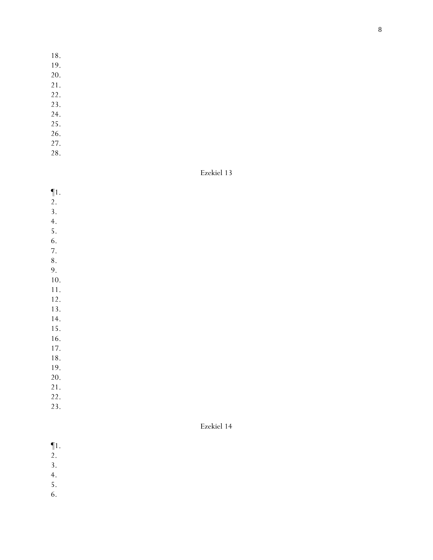- 18.
- 19.
- 20.
- 21.
- 22.
- 23.
- 24.
- 25.
- 26. 27.
- 28.

Ezekiel 13

- ¶1.
- 2.
- 3.
- 4.
- 5.
- 6.
- 7. 8.
- 9.
- 10.
- 11.
- 12.
- 13.
- 14.
- 15.
- 16.
- 17.
- 18.
- 19.
- 20.
- 21.
- 22.
- 23.

- ¶1.
- 2.
- 3.
- 4.
- 5.
- 6.
-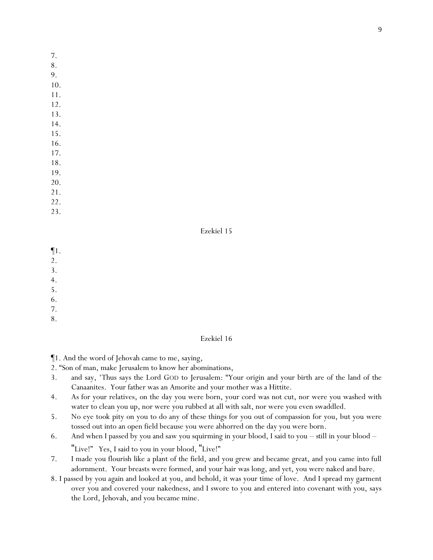- 7.
- 8. 9.
- 10.
- 11.
- 12.
- 13.
- 14.
- 15.
- 16.
- 17.
- 18.
- 19.
- 20.
- 21. 22.
- 23.

- ¶1.
- 2.
- 3.
- 4.
- 5.
- 6.
- 7. 8.

- Ezekiel 16
- ¶1. And the word of Jehovah came to me, saying,
- 2. "Son of man, make Jerusalem to know her abominations,
- 3. and say, 'Thus says the Lord GOD to Jerusalem: "Your origin and your birth are of the land of the Canaanites. Your father was an Amorite and your mother was a Hittite.
- 4. As for your relatives, on the day you were born, your cord was not cut, nor were you washed with water to clean you up, nor were you rubbed at all with salt, nor were you even swaddled.
- 5. No eye took pity on you to do any of these things for you out of compassion for you, but you were tossed out into an open field because you were abhorred on the day you were born.
- 6. And when I passed by you and saw you squirming in your blood, I said to you *still* in your blood "Live!" Yes, I said to you in your blood, "Live!"
- 7. I made you flourish like a plant of the field, and you grew and became great, and you came into full adornment. Your breasts were formed, and your hair was long, and yet, you were naked and bare.
- 8. I passed by you again and looked at you, and behold, it was your time of love. And I spread my garment over you and covered your nakedness, and I swore to you and entered into covenant with you, says the Lord, Jehovah, and you became mine.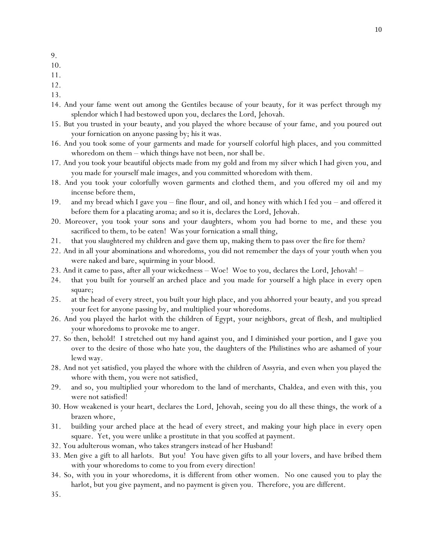- 9.
- 10.
- 11.
- 12.
- 13.
- 14. And your fame went out among the Gentiles because of your beauty, for it was perfect through my splendor which I had bestowed upon you, declares the Lord, Jehovah.
- 15. But you trusted in your beauty, and you played the whore because of your fame, and you poured out your fornication on anyone passing by; his it was.
- 16. And you took some of your garments and made for yourself colorful high places, and you committed whoredom on them – which things have not been, nor shall be.
- 17. And you took your beautiful objects made from my gold and from my silver which I had given you, and you made for yourself male images, and you committed whoredom with them.
- 18. And you took your colorfully woven garments and clothed them, and you offered my oil and my incense before them,
- 19. and my bread which I gave you fine flour, and oil, and honey with which I fed you and offered it before them for a placating aroma; and so it is, declares the Lord, Jehovah.
- 20. Moreover, you took your sons and your daughters, whom you had borne to me, and these you sacrificed to them, to be eaten! Was your fornication a small thing,
- 21. that you slaughtered my children and gave them up, making them to pass over *the fire* for them?
- 22. And in all your abominations and whoredoms, you did not remember the days of your youth when you were naked and bare, squirming in your blood.
- 23. And it came to pass, after all your wickedness Woe! Woe to you, declares the Lord, Jehovah! –
- 24. that you built for yourself an arched place and you made for yourself a high place in every open square;
- 25. at the head of every street, you built your high place, and you abhorred your beauty, and you spread your feet for anyone passing by, and multiplied your whoredoms.
- 26. And you played the harlot with the children of Egypt, your neighbors, great of flesh, and multiplied your whoredoms to provoke me to anger.
- 27. So then, behold! I stretched out my hand against you, and I diminished your portion, and I gave you over to the desire of those who hate you, the daughters of the Philistines who are ashamed of your lewd way.
- 28. And not yet satisfied, you played the whore with the children of Assyria, and even when you played the whore with them, you were not satisfied,
- 29. and so, you multiplied your whoredom to the land of merchants, Chaldea, and even with this, you were not satisfied!
- 30. How weakened is your heart, declares the Lord, Jehovah, seeing you do all these things, the work of a brazen whore,
- 31. building your arched place at the head of every street, and making your high place in every open square. Yet, you were unlike a prostitute in that you scoffed at payment.
- 32. You adulterous woman, who takes strangers instead of her Husband!
- 33. Men give a gift to all harlots. But you! You have given gifts to all your lovers, and have bribed them with your whoredoms to come to you from every direction!
- 34. So, with you in your whoredoms, it is different from *other* women. No one caused you to play the harlot, but you give payment, and no payment is given you. Therefore, you are different.
- 35.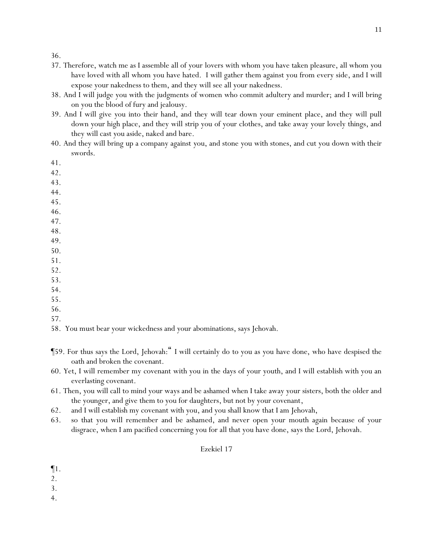- 37. Therefore, watch me as I assemble all of your lovers with whom you have taken pleasure, all whom you have loved with all whom you have hated. I will gather them against you from every side, and I will expose your nakedness to them, and they will see all your nakedness.
- 38. And I will judge you with the judgments of women who commit adultery and murder; and I will bring on you the blood of fury and jealousy.
- 39. And I will give you into their hand, and they will tear down your eminent place, and they will pull down your high place, and they will strip you of your clothes, and take away your lovely things, and they will cast you aside, naked and bare.
- 40. And they will bring up a company against you, and stone you with stones, and cut you down with their swords.
- 41.
- 42.
- 43.
- 44.
- 45.
- 46.
- 47.
- 48. 49.
- 50.
- 51.
- 52.
- 53.
- 54.
- 55.
- 56.
- 57.

58. You must bear your wickedness and your abominations, says Jehovah.

- ¶59. For thus says the Lord, Jehovah:" I will certainly do to you as you have done, who have despised the oath and broken the covenant.
- 60. Yet, I will remember my covenant with you in the days of your youth, and I will establish with you an everlasting covenant.
- 61. Then, you will call to mind your ways and be ashamed when I take away your sisters, both the older and the younger, and give them to you for daughters, but not by your covenant,
- 62. and I will establish my covenant with you, and you shall know that I am Jehovah,
- 63. so that you will remember and be ashamed, and never open your mouth again because of your disgrace, when I am pacified concerning you for all that you have done, says the Lord, Jehovah.

- ¶1.
- 2.
- 3.
- 4.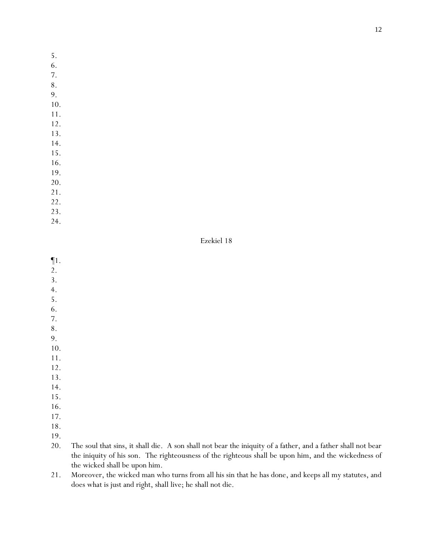- 5.
- 6.
- 7.
- 8. 9.
- 10.
- 11.
- 12.
- 13.
- 14.
- 15.
- 16.
- 19.
- 20.
- 21.
- 22.
- 23.
- 24.

- ¶1.
- 2.
- 3.
- 4.
- 5.
- 6.
- 7.
- 8.
- 9.
- 10.
- 11.
- 12.
- 13.
- 14.
- 15.
- 16.
- 17.
- 18. 19.
- 20. The soul that sins, it shall die. A son shall not bear the iniquity of a father, and a father shall not bear the iniquity of his son. The righteousness of the righteous shall be upon him, and the wickedness of the wicked shall be upon him.
- 21. Moreover, the wicked man who turns from all his sin that he has done, and keeps all my statutes, and does what is just and right, shall live; he shall not die.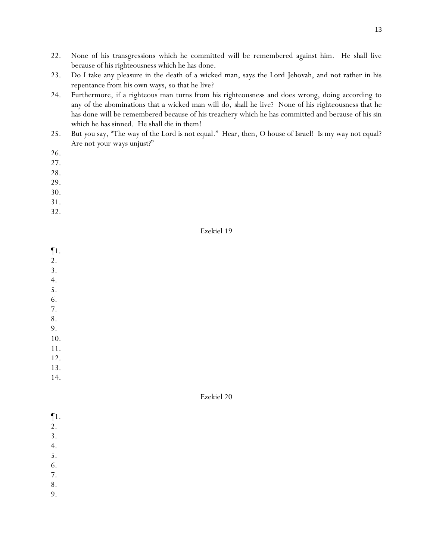- 22. None of his transgressions which he committed will be remembered against him. He shall live because of his righteousness which he has done.
- 23. Do I take any pleasure in the death of a wicked man, says the Lord Jehovah, and not rather in his repentance from his own ways, so that he live?
- 24. Furthermore, if a righteous man turns from his righteousness and does wrong, doing according to any of the abominations that a wicked man will do, shall he live? None of his righteousness that he has done will be remembered because of his treachery which he has committed and because of his sin which he has sinned. He shall die in them!
- 25. But *y*ou say, "The way of the Lord is not equal." Hear, then, O house of Israel! Is my way not equal? Are not *y*our ways unjust?"
- 26.
- 27.
- 28.
- 29.
- 30.
- 31.
- 32.

- ¶1. 2. 3. 4. 5. 6. 7. 8. 9. 10. 11. 12. 13.
- 14.

- ¶1.
- 2.
- 3.
- 4.
- 5.
- 6.
- 7.
- 8.
- 9.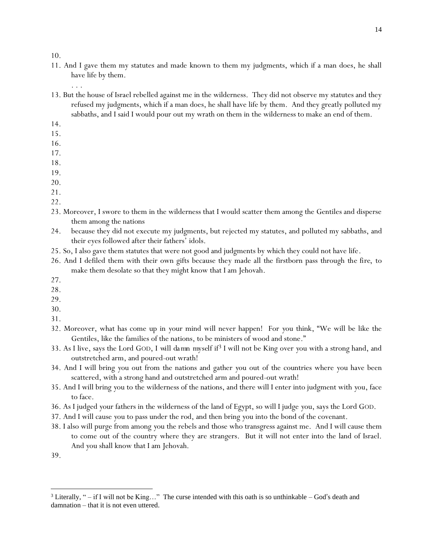- 11. And I gave them my statutes and made known to them my judgments, which if a man does, he shall have life by them.
	- . . .
- 13. But the house of Israel rebelled against me in the wilderness. They did not observe my statutes and they refused my judgments, which if a man does, he shall have life by them. And they greatly polluted my sabbaths, and I said I would pour out my wrath on them in the wilderness to make an end of them.
- 14.
- 15.
- 16.
- 17.
- 18. 19.
- 20.
- 21.
- 22.
- 23. Moreover, I swore to them in the wilderness that I would scatter them among the Gentiles and disperse them among the nations
- 24. because they did not execute my judgments, but rejected my statutes, and polluted my sabbaths, and their eyes followed after their fathers' idols.
- 25. So, I also gave them statutes that were not good and judgments by which they could not have life.
- 26. And I defiled them with their own gifts because they made all the firstborn pass through *the fire*, to make them desolate so that they might know that I am Jehovah.
- 27.
- 28.
- 29.
- 30.
- 31.
- 32. Moreover, what has come up in *y*our mind will never happen! For *y*ou think, "We will be like the Gentiles, like the families of the nations, to be ministers of wood and stone."
- 33. As I live, says the Lord GOD, *I will damn myself* if<sup>3</sup> I will not be King over *y*ou with a strong hand, and outstretched arm, and poured-out wrath!
- 34. And I will bring *y*ou out from the nations and gather *y*ou out of the countries where *y*ou have been scattered, with a strong hand and outstretched arm and poured-out wrath!
- 35. And I will bring *y*ou to the wilderness of the nations, and there will I enter into judgment with *y*ou, face to face.
- 36. As I judged *y*our fathers in the wilderness of the land of Egypt, so will I judge *y*ou, says the Lord GOD.
- 37. And I will cause *y*ou to pass under the rod, and then bring *y*ou into the bond of the covenant.
- 38. I also will purge from among *y*ou the rebels and those who transgress against me. And I will cause them to come out of the country where they are strangers. But it will not enter into the land of Israel. And *y*ou shall know that I am Jehovah.

<sup>39.</sup>

<sup>&</sup>lt;sup>3</sup> Literally, " $-$  if I will not be King..." The curse intended with this oath is so unthinkable  $-$  God's death and damnation – that it is not even uttered.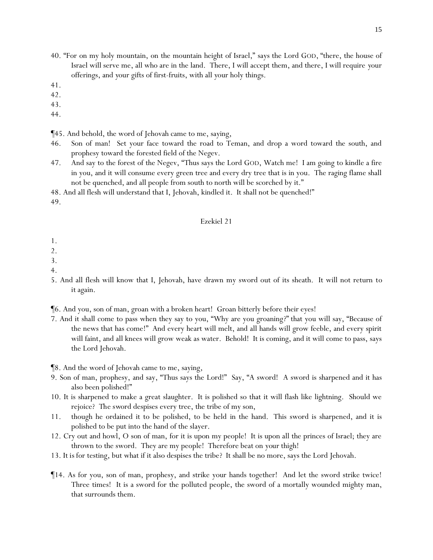- 40. "For on my holy mountain, on the mountain height of Israel," says the Lord GOD, "there, the house of Israel will serve me, all who are in the land. There, I will accept them, and there, I will require *y*our offerings, and *y*our gifts of first-fruits, with all *y*our holy things.
- 41.
- 42.
- 43.
- 44.
- ¶45. And behold, the word of Jehovah came to me, saying,
- 46. Son of man! Set your face toward the road to Teman, and drop a word toward the south, and prophesy toward the forested field of the Negev.
- 47. And say to the forest of the Negev, "Thus says the Lord GOD, Watch me! I am going to kindle a fire in you, and it will consume every green tree and every dry tree that is in you. The raging flame shall not be quenched, and all people from south to north will be scorched by it."

48. And all flesh will understand that I, Jehovah, kindled it. It shall not be quenched!"

49.

#### Ezekiel 21

- 1.
- $\mathcal{L}$
- 3.
- 4.
- 5. And all flesh will know that I, Jehovah, have drawn my sword out of its sheath. It will not return *to it* again.

¶6. And you, son of man, groan with a broken heart! Groan bitterly before their eyes!

7. And it shall come to pass when they say to you, "Why are you groaning?" that you will say, "Because of the news that has come!" And every heart will melt, and all hands will grow feeble, and every spirit will faint, and all knees will grow weak as water. Behold! It is coming, and it will come to pass, says the Lord Jehovah.

¶8. And the word of Jehovah came to me, saying,

- 9. Son of man, prophesy, and say, "Thus says the Lord!" Say, "A sword! A sword is sharpened and it has also been polished!"
- 10. It is sharpened to make a great slaughter. It is polished so that it will flash like lightning. Should we rejoice? *The sword* despises every tree, the tribe of my son,
- 11. though he ordained it to be polished, to be held in the hand. This sword is sharpened, and it is polished to be put into the hand of the slayer.
- 12. Cry out and howl, O son of man, for it is upon my people! It is upon all the princes of Israel; they are thrown to the sword. They are my people! Therefore beat on *your* thigh!
- 13. *It is* for testing, but what if it also despises the tribe? It shall be no more, says the Lord Jehovah.
- ¶14. As for you, son of man, prophesy, and strike your hands together! And let the sword strike twice! Three times! It is a sword for the polluted people, the sword of a mortally wounded mighty man, that surrounds them.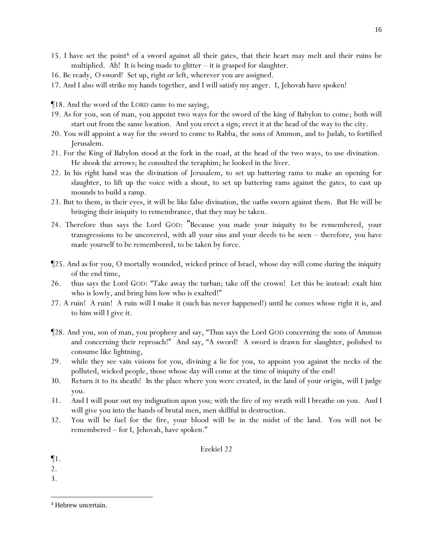- 15. I have set the point<sup>4</sup> of a sword against all their gates, that their heart may melt and their ruins be multiplied. Ah! It is being made to glitter – it is grasped for slaughter.
- 16. Be ready, *O sword*! Set up, right or left, wherever you are assigned.
- 17. And I also will strike my hands together, and I will satisfy my anger. I, Jehovah have spoken!

¶18. And the word of the LORD came to me saying,

- 19. As for you, son of man, you appoint two ways for the sword of the king of Babylon to come; both will start out from the same location. And you erect a sign; erect it at the head of the way to the city.
- 20. You will appoint a way for the sword to come to Rabba, the sons of Ammon, and to Judah, to fortified Jerusalem.
- 21. For the King of Babylon stood at the fork in the road, at the head of the two ways, to use divination. He shook the arrows; he consulted the teraphim; he looked in the liver.
- 22. In his right hand was the divination of Jerusalem, to set up battering rams to make an opening for slaughter, to lift up the voice with a shout, to set up battering rams against the gates, to cast up mounds to build a ramp.
- 23. But to them, in their eyes, it will be like false divination, the oaths sworn against them. But He will be bringing *their* iniquity to remembrance, that they may be taken.
- 24. Therefore thus says the Lord GOD: "Because *y*ou made *y*our iniquity to be remembered, *y*our transgressions to be uncovered, with all *y*our sins *and y*our deeds to be seen – therefore, *y*ou have made *y*ourself to be remembered, to be taken by force.
- ¶25. And as for you, O mortally wounded, wicked prince of Israel, whose day will come during the iniquity of the end time,
- 26. thus says the Lord GOD: "Take away the turban; take off the crown! Let this be instead: exalt him who is lowly, and bring him low who is exalted!"
- 27. A ruin! A ruin! A ruin will I make it (such has never happened!) until he comes whose right it is, and to him will I give it.
- ¶28. And you, son of man, you prophesy and say, "Thus says the Lord GOD concerning the sons of Ammon and concerning their reproach!" And say, "A sword! A sword is drawn for slaughter, polished to consume like lightning,
- 29. while they see vain visions for you, divining a lie for you, to appoint you against the necks of the polluted, wicked people, those whose day will come at the time of iniquity of the end!
- 30. Return it to its sheath! In the place where you were created, in the land of your origin, will I judge you.
- 31. And I will pour out my indignation upon you; with the fire of my wrath will I breathe on you. And I will give you into the hands of brutal men, men skillful in destruction.
- 32. You will be fuel for the fire, your blood will be in the midst of the land. You will not be remembered – for I, Jehovah, have spoken."

- ¶1.
- 2.
- 3.

<sup>16</sup>

<sup>4</sup> Hebrew uncertain.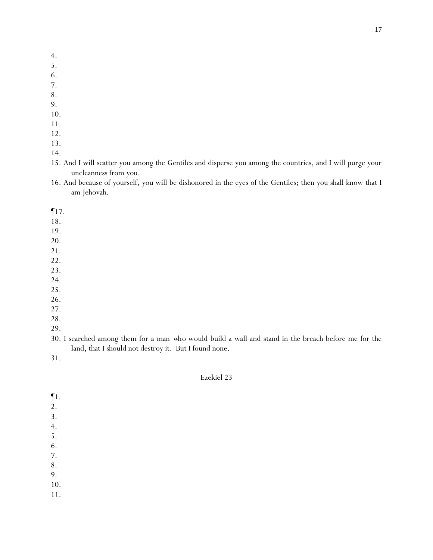- 4.
- 5.
- 6.
- 7. 8.
- 9.
- 10.
- 11.
- 12.
- 13.
- 14.
- 15. And I will scatter you among the Gentiles and disperse you among the countries, and I will purge your uncleanness from you.
- 16. And because of yourself, you will be dishonored in the eyes of the Gentiles; then you shall know that I am Jehovah.

¶17.

- 18.
- 19.
- 20.
- 21.
- 22.
- 23.
- 24.
- 25.
- 26.
- 27.
- 28.
- 29.
- 30. I searched among them for a man *who* would build a wall and stand in the breach before me for the land, that I should not destroy it. But I found none.

31.

## Ezekiel 23

¶1. 2. 3. 4. 5. 6. 7. 8. 9. 10. 11.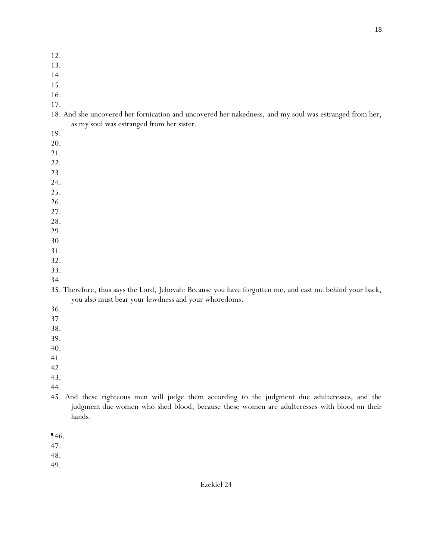- 12.
- 13.
- 14.
- 15.
- 16.
- 17.
- 18. And she uncovered her fornication and uncovered her nakedness, and my soul was estranged from her, as my soul was estranged from her sister.
- 19.
- 20.
- 21.
- 22.
- 23.
- 24.
- 25.
- 26.
- 27.
- 28.
- 29.
- 30. 31.
- 32.
- 33.
- 34.
- 35. Therefore, thus says the Lord, Jehovah: Because you have forgotten me, and cast me behind your back, you also must bear your lewdness and your whoredoms.
- 36.
- 37.
- 38.
- 39.
- 40.
- 41.
- 42.
- 43.
- 44.
- 45. And these righteous men will judge them according to the judgment due adulteresses, and the judgment due women who shed blood, because these women are adulteresses with blood on their hands.
- ¶46.

- 48.
- 49.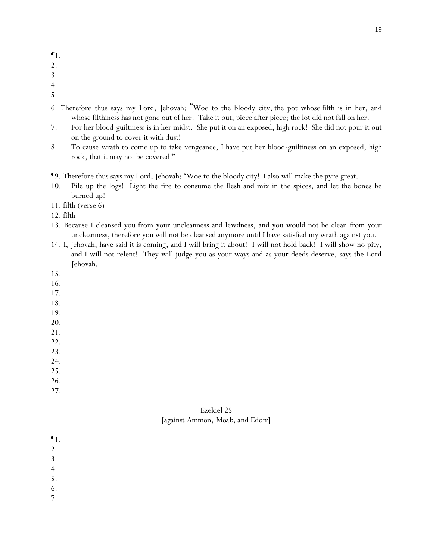- 2.
- 3.
- 4.
- 5.
- 6. Therefore thus says my Lord, Jehovah: "Woe to the bloody city, the pot whose filth is in her, and whose filthiness has not gone out of her! Take it out, piece after piece; the lot did not fall on her.
- 7. For her blood-guiltiness is in her midst. She put it on an exposed, high rock! She did not pour it out on the ground to cover it with dust!
- 8. To cause wrath to come up to take vengeance, I have put her blood-guiltiness on an exposed, high rock, that it may not be covered!"
- ¶9. Therefore thus says my Lord, Jehovah: "Woe to the bloody city! I also will make the pyre great.
- 10. Pile up the logs! Light the fire to consume the flesh and mix in the spices, and let the bones be burned up!
- 11. filth (verse 6)

12. filth

- 13. Because I cleansed you from your uncleanness and lewdness, and you would not be clean from your uncleanness, therefore you will not be cleansed anymore until I have satisfied my wrath against you.
- 14. I, Jehovah, have said it is coming, and I will bring it about! I will not hold back! I will show no pity, and I will not relent! They will judge you as your ways and as your deeds deserve, says the Lord Jehovah.
- 15.
- 16.
- 17.
- 18.
- 19.
- 20.
- 21.
- 22.
- 23.
- 24.
- 25.
- 26.
- 27.

## Ezekiel 25 *[against Ammon, Moab, and Edom]*

¶1.

- 2.
- 3.
- 4.
- 5.
- 6.
- 7.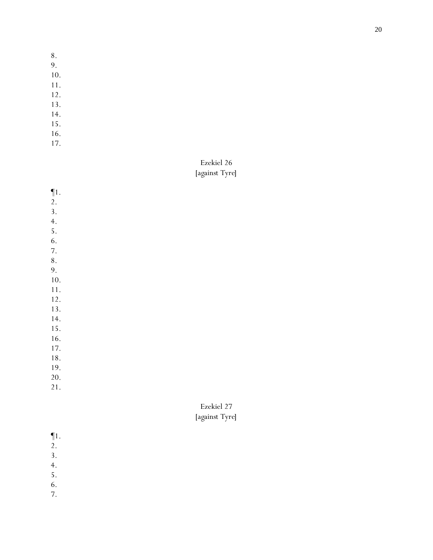- 8.
- 9.
- 10.
- 11.
- 12.
- 13.
- 14. 15.
- 16.
- 17.
- 

# Ezekiel 26 *[against Tyre]*

- ¶1.
- 2.
- 3.
- 4.
- 5. 6.
- 7.
- 8.
- 9.
- 10.
- 11. 12.
- 13.
- 14.
- 15.
- 16.
- 17.
- 18.
- 19.
- 20.

21.

# Ezekiel 27 *[against Tyre]*

- ¶1.
- 2.
- 3.
- 4.
- 5.
- 6.
- 7.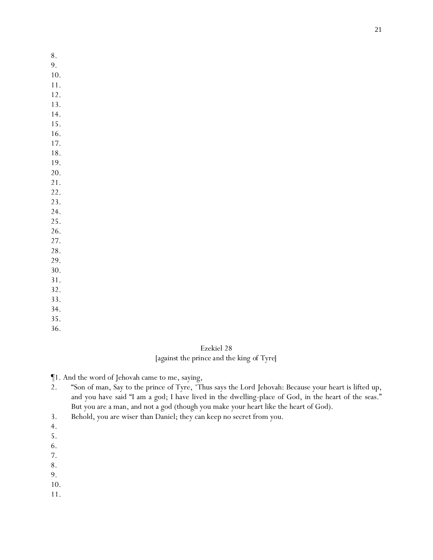- 8.
- 9.
- 10.
- 11.
- 12. 13.
- 14.
- 15.
- 16.
- 17.
- 18.
- 19.
- 20. 21.
- 22.
- 23.
- 24.
- 25.
- 26.
- 27.
- 28.
- 29.
- 30. 31.
- 32.
- 33.
- 34.
- 35.
- 36.

Ezekiel 28 *[against the prince and the king of Tyre]*

¶1. And the word of Jehovah came to me, saying,

- 2. "Son of man, Say to the prince of Tyre, 'Thus says the Lord Jehovah: Because your heart is lifted up, and you have said "I am a god; I have lived in the dwelling-place of God, in the heart of the seas." But you are a man, and not a god (though you make your heart like the heart of God).
- 3. Behold, you are wiser than Daniel; they can keep no secret from you.
- 4.
- 5.
- 6.
- 7.
- 8.
- 9.

10.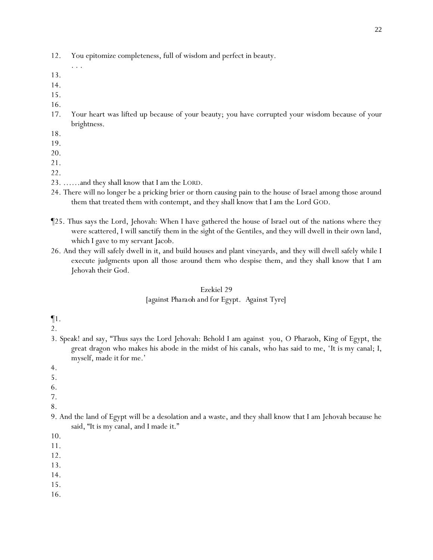- 12. You epitomize completeness, full of wisdom and perfect in beauty.
- 

. . .

- 13.
- 14.
- 15.
- 16.
- 17. Your heart was lifted up because of your beauty; you have corrupted your wisdom because of your brightness.
- 18.
- 19.
- 20.
- 21.
- 22.
- 23. ……and they shall know that I am the LORD.
- 24. There will no longer be a pricking brier or thorn causing pain to the house of Israel among those around them that treated them with contempt, and they shall know that I am the Lord GOD.
- ¶25. Thus says the Lord, Jehovah: When I have gathered the house of Israel out of the nations where they were scattered, I will sanctify them in the sight of the Gentiles, and they will dwell in their own land, which I gave to my servant Jacob.
- 26. And they will safely dwell in it, and build houses and plant vineyards, and they will dwell safely while I execute judgments upon all those around them who despise them, and they shall know that I am Jehovah their God.

### Ezekiel 29

## *[against Pharaoh and for Egypt. Against Tyre]*

¶1.

2.

- 3. Speak! and say, "Thus says the Lord Jehovah: Behold I am against you, O Pharaoh, King of Egypt, the great dragon who makes his abode in the midst of his canals, who has said to me, '*It is* my canal; I, myself, made *it* for me.'
- 4.
- 5.
- 6.
- 7.
- 8.
- 9. And the land of Egypt will be a desolation and a waste, and they shall know that I am Jehovah because he said, "It is my canal, and I made *it*."

- 11.
- 12.
- 13.
- 14.
- 15.
- 16.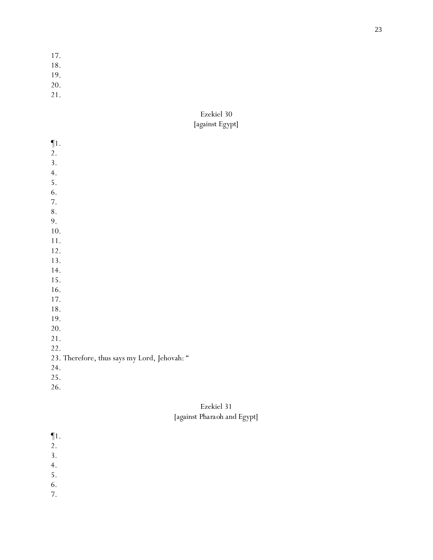- 17.
- 18.
- 19.
- 20.
- 21.

# Ezekiel 30 *[against Egypt]*

| $\P1.$                                       |
|----------------------------------------------|
| 2.                                           |
| 3.                                           |
| 4.                                           |
| 5.                                           |
| 6.                                           |
| 7.                                           |
| $\bf 8$ .                                    |
| 9.                                           |
| 10.                                          |
| 11.                                          |
| 12.                                          |
| 13.                                          |
| 14.                                          |
| 15.                                          |
| 16.                                          |
| 17.                                          |
| 18.                                          |
| 19.                                          |
| 20.                                          |
| 21.                                          |
| 22.                                          |
| 23. Therefore, thus says my Lord, Jehovah: " |
| 24.                                          |
| 25.                                          |
| 26.                                          |
|                                              |

# Ezekiel 31 *[against Pharaoh and Egypt]*

¶1.

- 2.
- 3.
- 4.
- 5.
- 6.
- 7.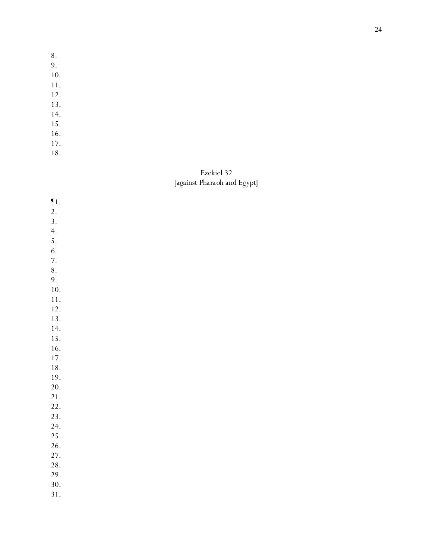- 8.
- 9.
- 10.
- 11.
- 12.
- 13.
- 14.
- 15.
- 16.
- 17. 18.

# Ezekiel 3 2 *[against Pharaoh and Egypt]*

| $\P1.$ |  |  |  |
|--------|--|--|--|
| 2.     |  |  |  |
| 3.     |  |  |  |
| 4.     |  |  |  |
| 5.     |  |  |  |
| 6.     |  |  |  |
| 7.     |  |  |  |
| 8.     |  |  |  |
| 9.     |  |  |  |
| 10.    |  |  |  |
| 11.    |  |  |  |
| 12.    |  |  |  |
| 13.    |  |  |  |
| 14.    |  |  |  |
| 15.    |  |  |  |
| 16.    |  |  |  |
| 17.    |  |  |  |
| 18.    |  |  |  |
| 19.    |  |  |  |
| 20.    |  |  |  |
| 21.    |  |  |  |
| 22.    |  |  |  |
| 23.    |  |  |  |
| 24.    |  |  |  |
| 25.    |  |  |  |
| 26.    |  |  |  |
| 27.    |  |  |  |
| 28.    |  |  |  |
| 29.    |  |  |  |
| 30.    |  |  |  |
| 31.    |  |  |  |
|        |  |  |  |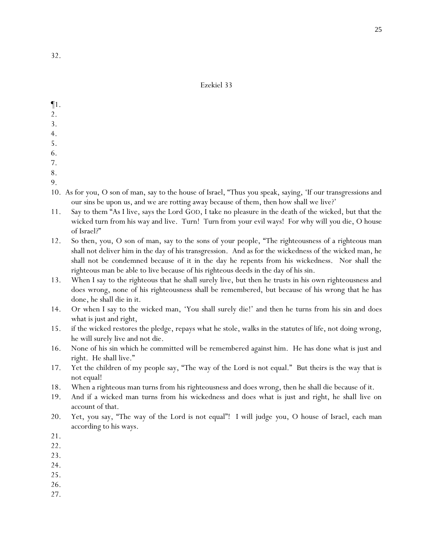- ¶1.
- 2.
- 3.
- 4.
- 5.
- 6.
- 7.
- 8.
- 9.
- 10. As for you, O son of man, say to the house of Israel, "Thus *y*ou speak, saying, 'If our transgressions and our sins be upon us, and we are rotting away because of them, then how shall we live?'
- 11. Say to them "As I live, says the Lord GOD, I take no pleasure in the death of the wicked, but that the wicked turn from his way and live. Turn! Turn from *y*our evil ways! For why will *y*ou die, O house of Israel?"
- 12. So then, you, O son of man, say to the sons of your people, "The righteousness of a righteous man shall not deliver him in the day of his transgression. And as for the wickedness of the wicked man, he shall not be condemned because of it in the day he repents from his wickedness. Nor shall the righteous man be able to live because of his righteous deeds in the day of his sin.
- 13. When I say to the righteous that he shall surely live, but then he trusts in his own righteousness and does wrong, none of his righteousness shall be remembered, but because of his wrong that he has done, he shall die in it.
- 14. Or when I say to the wicked man, 'You shall surely die!' and then he turns from his sin and does what is just and right,
- 15. if the wicked restores the pledge, repays what he stole, walks in the statutes of life, not doing wrong, he will surely live and not die.
- 16. None of his sin which he committed will be remembered against him. He has done what is just and right. He shall live."
- 17. Yet the children of my people say, "The way of the Lord is not equal." But theirs is the way that is not equal!
- 18. When a righteous man turns from his righteousness and does wrong, then he shall die because of it.
- 19. And if a wicked man turns from his wickedness and does what is just and right, he shall live on account of that.
- 20. Yet, you say, "The way of the Lord is not equal"! I will judge *y*ou, O house of Israel, each man according to his ways.
- 21.
- 22.
- 23.
- 24.
- 25.
- 26.
- 27.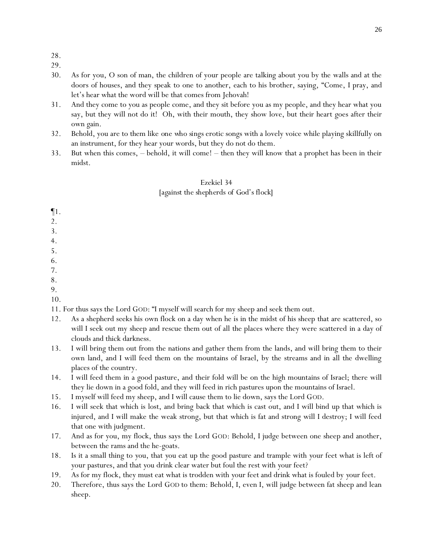- 28.
- 29.
- 30. As for you, O son of man, the children of your people are talking about you by the walls and at the doors of houses, and they speak to one to another, each to his brother, saying, "Come, I pray, and let's hear what the word will be that comes from Jehovah!
- 31. And they come to you as people come, and they sit before you as my people, and they hear what you say, but they will not do it! Oh, with their mouth, they show love, but their heart goes after their own gain.
- 32. Behold, you are to them like *one who sings* erotic songs with a lovely voice while playing skillfully on an instrument, for they hear your words, but they do not do them.
- 33. But when this comes, behold, it will come! then they will know that a prophet has been in their midst.

## Ezekiel 34 *[against the shepherds of God's flock]*

- ¶1.
- 2.
- 3.
- 4.
- 5.
- 6.
- 7.
- 8.
- 9.
- 10.

11. For thus says the Lord GOD: "I myself will search for my sheep and seek them out.

- 12. As a shepherd seeks his own flock on a day when he is in the midst of his sheep that are scattered, so will I seek out my sheep and rescue them out of all the places where they were scattered in a day of clouds and thick darkness.
- 13. I will bring them out from the nations and gather them from the lands, and will bring them to their own land, and I will feed them on the mountains of Israel, by the streams and in all the dwelling places of the country.
- 14. I will feed them in a good pasture, and their fold will be on the high mountains of Israel; there will they lie down in a good fold, and they will feed in rich pastures upon the mountains of Israel.
- 15. I myself will feed my sheep, and I will cause them to lie down, says the Lord GOD.
- 16. I will seek that which is lost, and bring back that which is cast out, and I will bind up that which is injured, and I will make the weak strong, but that which is fat and strong will I destroy; I will feed that one with judgment.
- 17. And as for you, my flock, thus says the Lord GOD: Behold, I judge between one sheep and another, between the rams and the he-goats.
- 18. Is it a small thing to *y*ou, that *y*ou eat up the good pasture and trample with *y*our feet what is left of *y*our pastures, and that *y*ou drink clear water but foul the rest with *y*our feet?
- 19. As for my flock, they must eat what is trodden with *y*our feet and drink what is fouled by *y*our feet.
- 20. Therefore, thus says the Lord GOD to them: Behold, I, even I, will judge between fat sheep and lean sheep.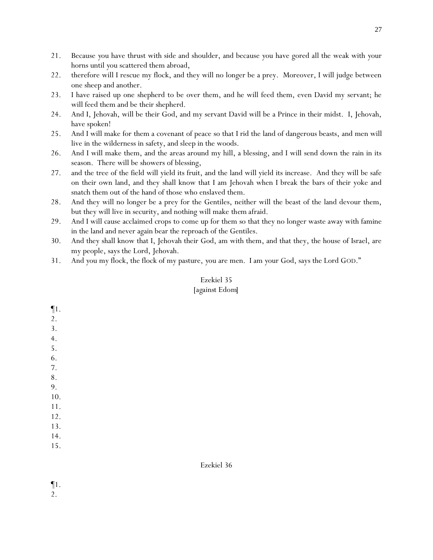- 21. Because *y*ou have thrust with side and shoulder, and because *y*ou have gored all the weak with *y*our horns until *y*ou scattered them abroad,
- 22. therefore will I rescue my flock, and they will no longer be a prey. Moreover, I will judge between one sheep and another.
- 23. I have raised up one shepherd to be over them, and he will feed them, even David my servant; he will feed them and be their shepherd.
- 24. And I, Jehovah, will be their God, and my servant David will be a Prince in their midst. I, Jehovah, have spoken!
- 25. And I will make for them a covenant of peace so that I rid the land of dangerous beasts, and men will live in the wilderness in safety, and sleep in the woods.
- 26. And I will make them, and the areas around my hill, a blessing, and I will send down the rain in its season. There will be showers of blessing,
- 27. and the tree of the field will yield its fruit, and the land will yield its increase. And they will be safe on their own land, and they shall know that I am Jehovah when I break the bars of their yoke and snatch them out of the hand of those who enslaved them.
- 28. And they will no longer be a prey for the Gentiles, neither will the beast of the land devour them, but they will live in security, and nothing will make *them* afraid.
- 29. And I will cause acclaimed crops to come up for them so that they no longer waste away with famine in the land and never again bear the reproach of the Gentiles.
- 30. And they shall know that I, Jehovah their God, am with them, and that they, the house of Israel, are my people, says the Lord, Jehovah.
- 31. And *y*ou my flock, the flock of my pasture, *y*ou are men. I am *y*our God, says the Lord GOD."

## *[against Edom]*

| $\P1.$    |            |
|-----------|------------|
| 2.        |            |
| 3.        |            |
| 4.        |            |
| 5.        |            |
| 6.        |            |
| $7. \,$   |            |
| $\bf 8$ . |            |
| 9.        |            |
| 10.       |            |
| 11.       |            |
| 12.       |            |
| 13.       |            |
| 14.       |            |
| 15.       |            |
|           |            |
|           | Ezekiel 36 |

¶1. 2.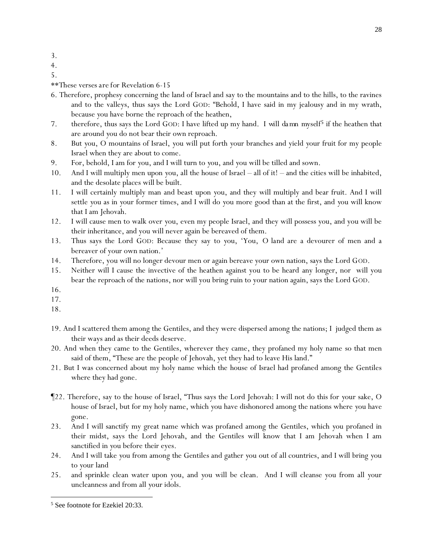- 3.
- 4.
- 5.

*\*\*These verses are for Revelation 6-15*

- 6. Therefore, prophesy concerning the land of Israel and say to the mountains and to the hills, to the ravines and to the valleys, thus says the Lord GOD: "Behold, I have said in my jealousy and in my wrath, because *y*ou have borne the reproach of the heathen,
- 7. therefore, thus says the Lord GOD: I have lifted up my hand. *I will damn myself<sup>5</sup>* if the heathen that are around *y*ou do not bear their own reproach.
- 8. But *y*ou, O mountains of Israel, *y*ou will put forth *y*our branches and yield *y*our fruit for my people Israel when they are about to come.
- 9. For, behold, I am for *y*ou, and I will turn to *y*ou, and *y*ou will be tilled and sown.
- 10. And I will multiply men upon *y*ou, all the house of Israel all of it! and the cities will be inhabited, and the desolate places will be built.
- 11. I will certainly multiply man and beast upon *y*ou, and they will multiply and bear fruit. And I will settle *y*ou as in *y*our former times, and I will do *y*ou more good than at the first, and *y*ou will know that I am Jehovah.
- 12. I will cause men to walk over *y*ou, even my people Israel, and they will possess you, and you will be their inheritance, and you will never again be bereaved of them.
- 13. Thus says the Lord GOD: Because they say to *y*ou, 'You, *O land* are a devourer of men and a bereaver of your own nation.'
- 14. Therefore, you will no longer devour men or again bereave your own nation, says the Lord GOD.
- 15. Neither will I cause the invective of the heathen against you to be heard any longer, nor will you bear the reproach of the nations, nor will you bring ruin to your nation again, says the Lord GOD.
- 16.
- 17.
- 18.
- 19. And I scattered them among the Gentiles, and they were dispersed among the nations; I judged them as their ways and as their deeds deserve.
- 20. And when they came to the Gentiles, wherever they came, they profaned my holy name so that men said of them, "These are the people of Jehovah, yet they had to leave His land."
- 21. But I was concerned about my holy name which the house of Israel had profaned among the Gentiles where they had gone.
- ¶22. Therefore, say to the house of Israel, "Thus says the Lord Jehovah: I will not do this for *y*our sake, O house of Israel, but for my holy name, which *y*ou have dishonored among the nations where *y*ou have gone.
- 23. And I will sanctify my great name which was profaned among the Gentiles, which *y*ou profaned in their midst, says the Lord Jehovah, and the Gentiles will know that I am Jehovah when I am sanctified in *y*ou before their eyes.
- 24. And I will take *y*ou from among the Gentiles and gather *y*ou out of all countries, and I will bring *y*ou to *y*our land
- 25. and sprinkle clean water upon *y*ou, and *y*ou will be clean. And I will cleanse *y*ou from all *y*our uncleanness and from all *y*our idols.

<sup>5</sup> See footnote for Ezekiel 20:33.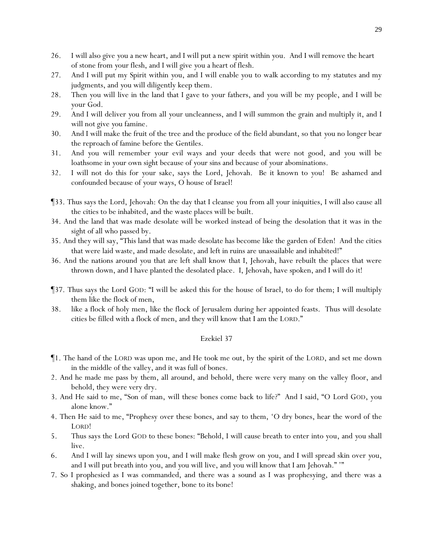- 26. I will also give *y*ou a new heart, and I will put a new spirit within *y*ou. And I will remove the heart of stone from *y*our flesh, and I will give *y*ou a heart of flesh.
- 27. And I will put my Spirit within *y*ou, and I will enable *y*ou to walk according to my statutes and my judgments, and *y*ou will diligently keep them*.*
- 28. Then *y*ou will live in the land that I gave to *y*our fathers, and *y*ou will be my people, and I will be *y*our God.
- 29. And I will deliver *y*ou from all *y*our uncleanness, and I will summon the grain and multiply it, and I will not give *y*ou famine.
- 30. And I will make the fruit of the tree and the produce of the field abundant, so that *y*ou no longer bear the reproach of famine before the Gentiles.
- 31. And *y*ou will remember *y*our evil ways and *y*our deeds that were not good, and *y*ou will be loathsome in *y*our own sight because of *y*our sins and because of *y*our abominations.
- 32. I will not do this for *y*our sake, says the Lord, Jehovah. Be it known to *y*ou! Be ashamed and confounded because of *y*our ways, O house of Israel!
- ¶33. Thus says the Lord, Jehovah: On the day that I cleanse *y*ou from all *y*our iniquities, I will also cause all the cities to be inhabited, and the waste places will be built.
- 34. And the land that was made desolate will be worked instead of being the desolation that it was in the sight of all who passed by.
- 35. And they will say, "This land that was made desolate has become like the garden of Eden! And the cities that were laid waste, and made desolate, and left in ruins are unassailable and inhabited!"
- 36. And the nations around *y*ou that are left shall know that I, Jehovah, have rebuilt the places that were thrown down, and I have planted the desolated place. I, Jehovah, have spoken, and I will do *it*!
- ¶37. Thus says the Lord GOD: "I will be asked this for the house of Israel, to do for them; I will multiply them like the flock of men,
- 38. like a flock of holy men, like the flock of Jerusalem during her appointed feasts. Thus will desolate cities be filled with a flock of men, and they will know that I am the LORD."

- ¶1. The hand of the LORD was upon me, and He took me out, by the spirit of the LORD, and set me down in the middle of the valley, and it was full of bones.
- 2. And he made me pass by them, all around, and behold, there were very many on the valley floor, and behold, they were very dry.
- 3. And He said to me, "Son of man, will these bones come back to life?" And I said, "O Lord GOD, you alone know."
- 4. Then He said to me, "Prophesy over these bones, and say to them, 'O dry bones, hear the word of the LORD!
- 5. Thus says the Lord GOD to these bones: "Behold, I will cause breath to enter into *y*ou, and *y*ou shall live.
- 6. And I will lay sinews upon *y*ou, and I will make flesh grow on *y*ou, and I will spread skin over *y*ou, and I will put breath into *y*ou, and *y*ou will live, and *y*ou will know that I am Jehovah." '"
- 7. So I prophesied as I was commanded, and there was a sound as I was prophesying, and there was a shaking, and bones joined together, bone to its bone!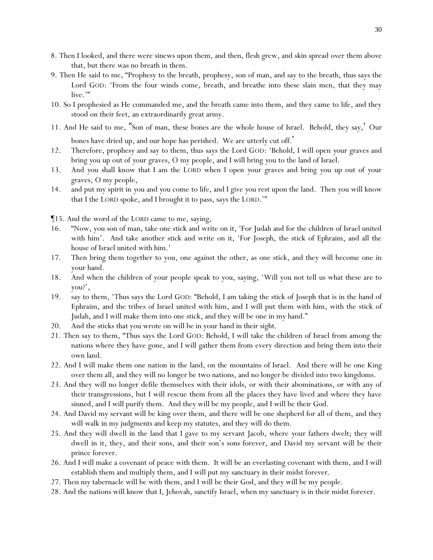- 8. Then I looked, and there were sinews upon them, and then, flesh grew, and skin spread over them above that, but there was no breath in them.
- 9. Then He said to me, "Prophesy to the breath, prophesy, son of man, and say to the breath, thus says the Lord GOD: 'From the four winds come, breath, and breathe into these slain men, that they may live."
- 10. So I prophesied as He commanded me, and the breath came into them, and they came to life, and they stood on their feet, an extraordinarily great army.
- 11. And He said to me, "Son of man, these bones are the whole house of Israel. Behold, they say,' Our bones have dried up, and our hope has perished. We are utterly cut off. '
- 12. Therefore, prophesy and say to them, thus says the Lord GOD: 'Behold, I will open *y*our graves and bring *y*ou up out of *y*our graves, O my people, and I will bring *y*ou to the land of Israel.
- 13. And *y*ou shall know that I am the LORD when I open *y*our graves and bring *y*ou up out of *y*our graves, O my people,
- 14. and put my spirit in *y*ou and *y*ou come to life, and I give *y*ou rest upon the land. Then *y*ou will know that I the LORD spoke, and I brought it to pass, says the LORD.'"

¶15. And the word of the LORD came to me, saying,

- 16. "Now, you son of man, take one stick and write on it, 'For Judah and for the children of Israel united with him'. And take another stick and write on it, 'For Joseph, the stick of Ephraim, and all the house of Israel united with him.'
- 17. Then bring them together to you, one against the other, as one stick, and they will become one in your hand.
- 18. And when the children of your people speak to you, saying, 'Will you not tell us what these are to you?',
- 19. say to them, 'Thus says the Lord GOD: "Behold, I am taking the stick of Joseph that is in the hand of Ephraim, and the tribes of Israel united with him, and I will put them with him, with the stick of Judah, and I will make them into one stick, and they will be one in my hand."
- 20. And the sticks that you wrote on will be in your hand in their sight.
- 21. Then say to them, "Thus says the Lord GOD: Behold, I will take the children of Israel from among the nations where they have gone, and I will gather them from every direction and bring them into their own land.
- 22. And I will make them one nation in the land, on the mountains of Israel. And there will be one King over them all, and they will no longer be two nations, and no longer be divided into two kingdoms.
- 23. And they will no longer defile themselves with their idols, or with their abominations, or with any of their transgressions, but I will rescue them from all the places they have lived and where they have sinned, and I will purify them. And they will be my people, and I will be their God.
- 24. And David my servant will be king over them, and there will be one shepherd for all of them, and they will walk in my judgments and keep my statutes, and they will do them.
- 25. And they will dwell in the land that I gave to my servant Jacob, where *y*our fathers dwelt; they will dwell in it, they, and their sons, and their son's sons forever, and David my servant will be their prince forever.
- 26. And I will make a covenant of peace with them. It will be an everlasting covenant with them, and I will establish them and multiply them, and I will put my sanctuary in their midst forever.
- 27. Then my tabernacle will be with them, and I will be their God, and they will be my people.
- 28. And the nations will know that I, Jehovah, sanctify Israel, when my sanctuary is in their midst forever.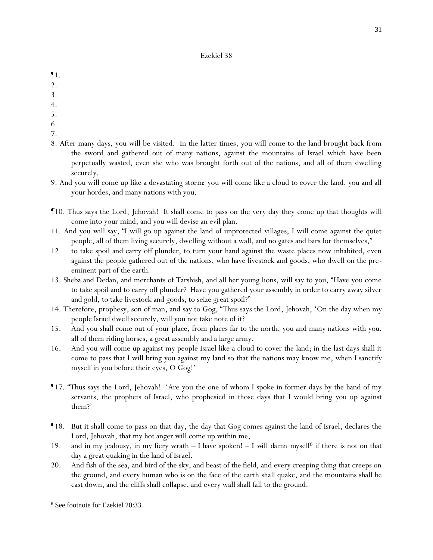- ¶1.
- 2.
- 3.
- 4.
- 5.
- 
- 6.
- 7.
- 8. After many days, you will be visited. In the latter times, you will come to the land brought back from the sword and gathered out of many nations, against the mountains of Israel which have been perpetually wasted, even she who was brought forth out of the nations, and all of them dwelling securely.
- 9. And you will come up like a devastating *storm*; you will come like a cloud to cover the land, you and all your hordes, and many nations with you.
- ¶10. Thus says the Lord, Jehovah! It shall come to pass on the very day they come up that thoughts will come into your mind, and you will devise an evil plan.
- 11. And you will say, "I will go up against the land of unprotected villages; I will come against the quiet people, all of them living securely, dwelling without a wall, and no gates and bars for themselves,"
- 12. to take spoil and carry off plunder, to turn your hand against the waste places now inhabited, even against the people gathered out of the nations, who have livestock and goods, who dwell on the preeminent part of the earth.
- 13. Sheba and Dedan, and merchants of Tarshish, and all her young lions, will say to you, "Have you come to take spoil and to carry off plunder? Have you gathered your assembly in order to carry away silver and gold, to take livestock and goods, to seize great spoil?"
- 14. Therefore, prophesy, son of man, and say to Gog, "Thus says the Lord, Jehovah, 'On the day when my people Israel dwell securely, will you not take note of it?
- 15. And you shall come out of your place, from places far to the north, you and many nations with you, all of them riding horses, a great assembly and a large army.
- 16. And you will come up against my people Israel like a cloud to cover the land; in the last days shall it come to pass that I will bring you against my land so that the nations may know me, when I sanctify myself in you before their eyes, O Gog!'
- ¶17. "Thus says the Lord, Jehovah! 'Are you the one of whom I spoke in former days by the hand of my servants, the prophets of Israel, who prophesied in those days that I would bring you up against them?'
- ¶18. But it shall come to pass on that day, the day that Gog comes against the land of Israel, declares the Lord, Jehovah, that my hot anger will come up within me,
- 19. and in my jealousy, in my fiery wrath I have spoken! *I will damn myself<sup>6</sup>* if there is not on that day a great quaking in the land of Israel.
- 20. And fish of the sea, and bird of the sky, and beast of the field, and every creeping thing that creeps on the ground, and every human who is on the face of the earth shall quake, and the mountains shall be cast down, and the cliffs shall collapse, and every wall shall fall to the ground.

<sup>6</sup> See footnote for Ezekiel 20:33.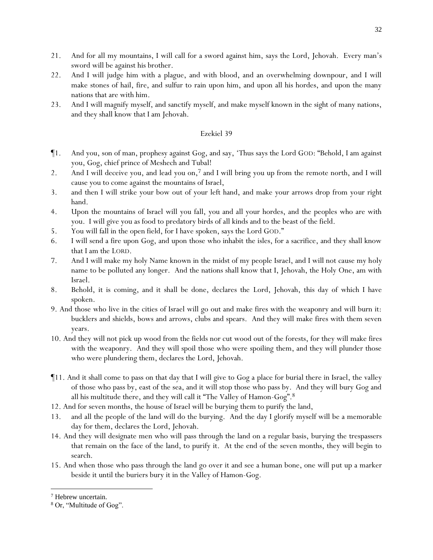- 21. And for all my mountains, I will call for a sword against him, says the Lord, Jehovah. Every man's sword will be against his brother.
- 22. And I will judge him with a plague, and with blood, and an overwhelming downpour, and I will make stones of hail, fire, and sulfur to rain upon him, and upon all his hordes, and upon the many nations that are with him.
- 23. And I will magnify myself, and sanctify myself, and make myself known in the sight of many nations, and they shall know that I am Jehovah.

- ¶1. And you, son of man, prophesy against Gog, and say, 'Thus says the Lord GOD: "Behold, I am against you, Gog, chief prince of Meshech and Tubal!
- 2. And I will deceive you, and lead you on,<sup>7</sup> and I will bring you up from the remote north, and I will cause you to come against the mountains of Israel,
- 3. and then I will strike your bow out of your left hand, and make your arrows drop from your right hand.
- 4. Upon the mountains of Israel will you fall, you and all your hordes, and the peoples who are with you. I will give you as food to predatory birds of all kinds and to the beast of the field.
- 5. You will fall in the open field, for I have spoken, says the Lord GOD."
- 6. I will send a fire upon Gog, and upon those who inhabit the isles, for a sacrifice, and they shall know that I am the LORD.
- 7. And I will make my holy Name known in the midst of my people Israel, and I will not cause my holy name to be polluted any longer. And the nations shall know that I, Jehovah, the Holy One, am with Israel.
- 8. Behold, it is coming, and it shall be done, declares the Lord, Jehovah, this day of which I have spoken.
- 9. And those who live in the cities of Israel will go out and make fires with the weaponry and will burn it: bucklers and shields, bows and arrows, clubs and spears. And they will make fires with them seven years.
- 10. And they will not pick up wood from the fields nor cut wood out of the forests, for they will make fires with the weaponry. And they will spoil those who were spoiling them, and they will plunder those who were plundering them, declares the Lord, Jehovah.
- ¶11. And it shall come to pass on that day that I will give to Gog a place for burial there in Israel, the valley of those who pass by, east of the sea, and it will stop those who pass by. And they will bury Gog and all his multitude there, and they will call it "The Valley of Hamon-Gog".<sup>8</sup>
- 12. And for seven months, the house of Israel will be burying them to purify the land,
- 13. and all the people of the land will do the burying. And the day I glorify myself will be a memorable day for them, declares the Lord, Jehovah.
- 14. And they will designate men who will pass through the land on a regular basis, burying the trespassers that remain on the face of the land, to purify it. At the end of the seven months, they will begin to search.
- 15. And when those who pass through the land go over it and see a human bone, one will put up a marker beside it until the buriers bury it in the Valley of Hamon-Gog.

<sup>7</sup> Hebrew uncertain.

<sup>8</sup> Or, "Multitude of Gog".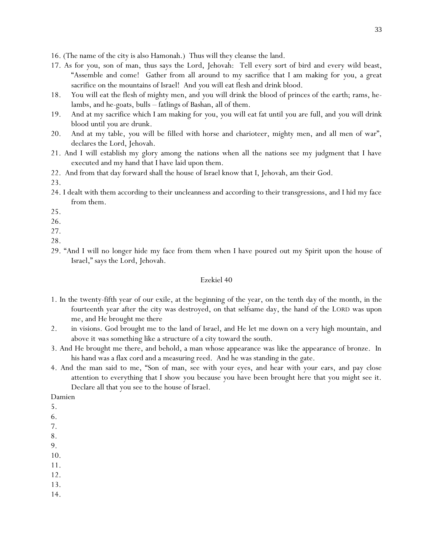16. (The name of the city is also Hamonah.) Thus will they cleanse the land.

- 17. As for you, son of man, thus says the Lord, Jehovah: Tell every sort of bird and every wild beast, "Assemble and come! Gather from all around to my sacrifice that I am making for *y*ou, a great sacrifice on the mountains of Israel! And *y*ou will eat flesh and drink blood.
- 18. *Y*ou will eat the flesh of mighty men, and *y*ou will drink the blood of princes of the earth; rams, helambs, and he-goats, bulls – fatlings of Bashan, all of them.
- 19. And at my sacrifice which I am making for *y*ou, *y*ou will eat fat until *y*ou are full, and *y*ou will drink blood until *y*ou are drunk*.*
- 20. And at my table, *y*ou will be filled with horse and charioteer, mighty men, and all men of war", declares the Lord, Jehovah.
- 21. And I will establish my glory among the nations when all the nations see my judgment that I have executed and my hand that I have laid upon them.
- 22. And from that day forward shall the house of Israel know that I, Jehovah, am their God.

23.

- 24. I dealt with them according to their uncleanness and according to their transgressions, and I hid my face from them.
- 25.
- 26.
- 27.
- 28.
- 29. "And I will no longer hide my face from them when I have poured out my Spirit upon the house of Israel," says the Lord, Jehovah.

#### Ezekiel 40

- 1. In the twenty-fifth year of our exile, at the beginning of the year, on the tenth *day* of the month, in the fourteenth year after the city was destroyed, on that selfsame day, the hand of the LORD was upon me, and He brought me there
- 2. in visions. God brought me to the land of Israel, and He let me down on a very high mountain, and above it *was something* like a structure of a city toward the south.
- 3. And He brought me there, and behold, a man whose appearance was like the appearance of bronze. In his hand was a flax cord and a measuring reed. And he was standing in the gate.
- 4. And the man said to me, "Son of man, see with your eyes, and hear with your ears, and pay close attention to everything that I show you because you have been brought here that you might see it. Declare all that you see to the house of Israel.

Damien

- 5.
- 6.
- 7.
- 8. 9.
- 10.
- 11.
- 12.
- 13.
- 14.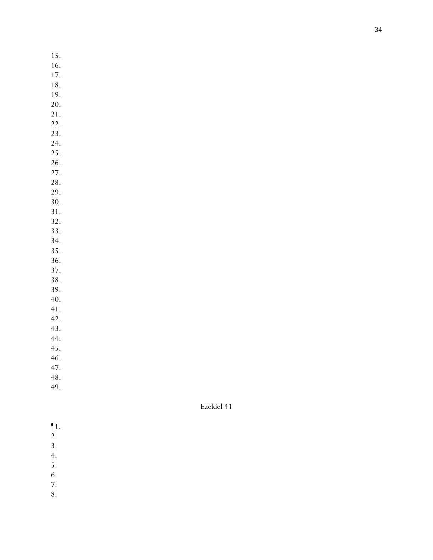- 15.
- 16.
- 17.
- 18.
- 19.
- 20. 21.
- 22.
- 23.
- 24.
- 25.
- 26. 27.
- 28.
- 29.
- 30.
- 31.
- 32.
- 33. 34.
- 35.
- 36.
- 37.
- 38.
- 39.
- 40.
- 41.
- 42. 43.
- 44.
- 45.
- 46.
- 47.
- 48.
- 49.

- ¶1.
- 2.
- 3.
- 4.
- 5. 6.
- 7.
- 8.
	-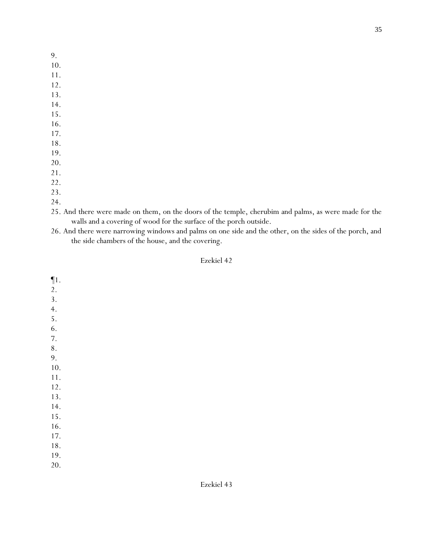- 9.
- 10.
- 11.
- 12. 13.
- 14.
- 15.
- 16.
- 17.
- 18.
- 19.
- 20.
- 21.
- 22.
- 23.
- 24.
- 25. And there were made on them, on the doors of the temple, cherubim and palms, as were made for the walls and a covering of wood for the surface of the porch outside.
- 26. And there were narrowing windows and palms on one side and the other, on the sides of the porch, and the side chambers of the house, and the covering.

¶1. 2. 3. 4. 5. 6. 7. 8. 9. 10. 11. 12. 13. 14. 15. 16. 17. 18. 19. 20.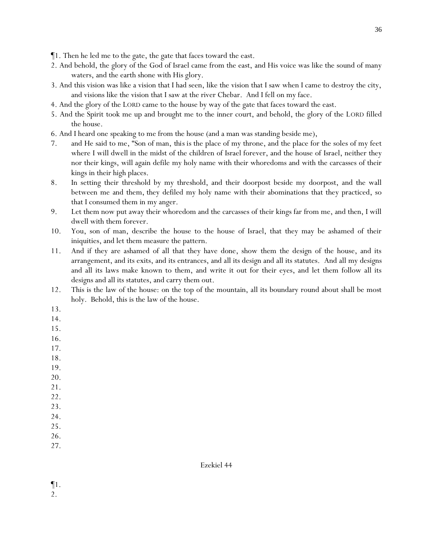- ¶1. Then he led me to the gate, the gate that faces toward the east.
- 2. And behold, the glory of the God of Israel came from the east, and His voice was like the sound of many waters, and the earth shone with His glory.
- 3. And this vision was like a vision that I had seen, like the vision that I saw when I came to destroy the city, and visions like the vision that I saw at the river Chebar. And I fell on my face.
- 4. And the glory of the LORD came to the house by way of the gate that faces toward the east.
- 5. And the Spirit took me up and brought me to the inner court, and behold, the glory of the LORD filled the house.
- 6. And I heard one speaking to me from the house (and a man was standing beside me),
- 7. and He said to me, "Son of man, *this is* the place of my throne, and the place for the soles of my feet where I will dwell in the midst of the children of Israel forever, and the house of Israel, neither they nor their kings, will again defile my holy name with their whoredoms and with the carcasses of their kings in their high places.
- 8. In setting their threshold by my threshold, and their doorpost beside my doorpost, and the wall between me and them, they defiled my holy name with their abominations that they practiced, so that I consumed them in my anger.
- 9. Let them now put away their whoredom and the carcasses of their kings far from me, and then, I will dwell with them forever.
- 10. You, son of man, describe the house to the house of Israel, that they may be ashamed of their iniquities, and let them measure the pattern.
- 11. And if they are ashamed of all that they have done, show them the design of the house, and its arrangement, and its exits, and its entrances, and all its design and all its statutes. And all my designs and all its laws make known to them, and write it out for their eyes, and let them follow all its designs and all its statutes, and carry them out.
- 12. This is the law of the house: on the top of the mountain, all its boundary round about shall be most holy. Behold, this is the law of the house.
- 13.
- 14.
- 15.
- 16.
- 17.
- 18.
- 19.
- 20.
- 21.
- 22. 23.
- 24.
- 25.
- 26.
- 27.

- ¶1.
- 2.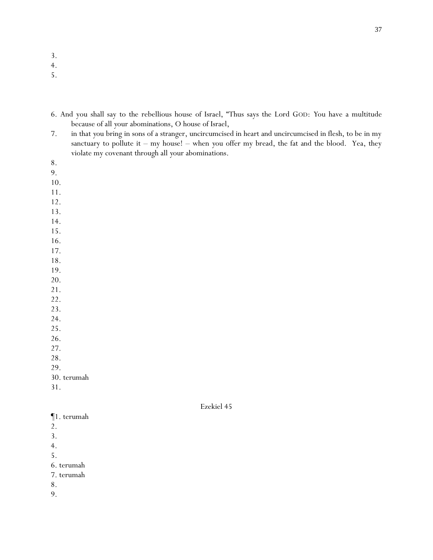3.

4.

5.

- 6. And you shall say to the rebellious house of Israel, "Thus says the Lord GOD: *Y*ou have a multitude because of all *y*our abominations, O house of Israel,
- 7. in that *y*ou bring in sons of a stranger, uncircumcised in heart and uncircumcised in flesh, to be in my sanctuary to pollute it – my house! – when *y*ou offer my bread, the fat and the blood. Yea, they violate my covenant through all *y*our abominations.
- 8.
- 9.
- 10.
- 11.
- 12.
- 13.
- 14.
- 15.
- 16.
- 17.
- 18.
- 19.
- 20.
- 21.
- 22.
- 23.
- 24.
- 25.
- 26. 27.
- 

28.

29.

30. terumah

31.

Ezekiel 45

- ¶1. terumah
- 2.
- 3.
- 4.

5.

- 6. terumah
- 7. terumah
- 8.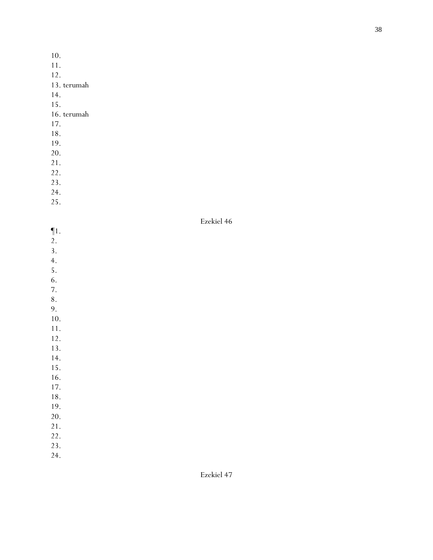10.

- 11.
- 12.
- 13. terumah
- 14.
- 15.

# 16. terumah

- 17.
- 18.
- 19.
- 20.
- 21.
- 22.
- 23.
- 24. 25.
- 

- ¶1. 2. 3. 4. 5. 6. 7. 8. 9. 10. 11. 12. 13. 14. 15. 16. 17. 18. 19. 20. 21. 22.
- 23.
- 24.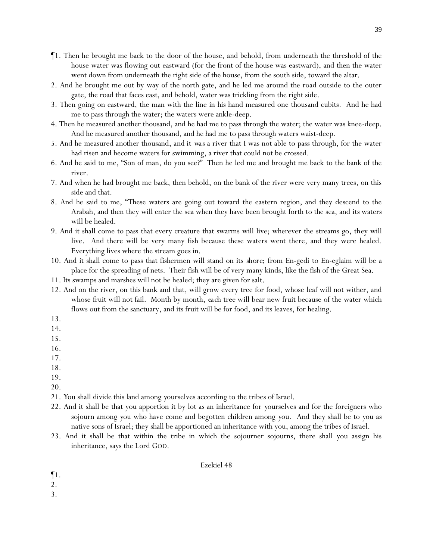- ¶1. Then he brought me back to the door of the house, and behold, from underneath the threshold of the house water was flowing out eastward (for the front of the house was eastward), and then the water went down from underneath the right side of the house, from the south side, toward the altar.
- 2. And he brought me out by way of the north gate, and he led me around the road outside to the outer gate, the road that faces east, and behold, water was trickling from the right side.
- 3. Then going on eastward, the man with the line in his hand measured one thousand cubits. And he had me to pass through the water; the waters were ankle-deep.
- 4. Then he measured *another* thousand, and he had me to pass through the water; the water was knee-deep. And he measured *another* thousand, and he had me to pass through waters waist-deep.
- 5. And he measured *another* thousand, *and it was* a river that I was not able to pass through, for the water had risen and become waters for swimming, a river that could not be crossed.
- 6. And he said to me, "Son of man, do you see?" Then he led me and brought me back to the bank of the river.
- 7. And when he had brought me back, then behold, on the bank of the river were very many trees, on this side and that.
- 8. And he said to me, "These waters are going out toward the eastern region, and they descend to the Arabah, and then they will enter the sea when they have been brought forth to the sea, and *its* waters will be healed.
- 9. And it shall come to pass that every creature that swarms will live; wherever the streams go, they will live. And there will be very many fish because these waters went there, and they were healed. Everything lives where the stream goes in.
- 10. And it shall come to pass that fishermen will stand on its *shore*; from En-gedi to En-eglaim will be a place for the spreading of nets. Their fish will be of very many kinds, like the fish of the Great Sea.
- 11. Its swamps and marshes will not be healed; they are given for salt.
- 12. And on the river, on this bank and that, will grow every tree for food, whose leaf will not wither, and whose fruit will not fail. Month by month, *each tree* will bear new fruit because of the water which flows out from the sanctuary, and its fruit will be for food, and its leaves, for healing.
- 13.
- 14.
- 15.
- 16.
- 17.
- 18.
- 19.
- 20.
- 21. *Y*ou shall divide this land among *y*ourselves according to the tribes of Israel.
- 22. And it shall be that you apportion it by lot as an inheritance for *y*ourselves and for the foreigners who sojourn among *y*ou who have come and begotten children among *y*ou. And they shall be to *y*ou as native sons of Israel; they shall be apportioned an inheritance with you, among the tribes of Israel.
- 23. And it shall be that within the tribe in which the sojourner sojourns, there shall you assign his inheritance, says the Lord GOD.

- ¶1.
- 2.
- 3.